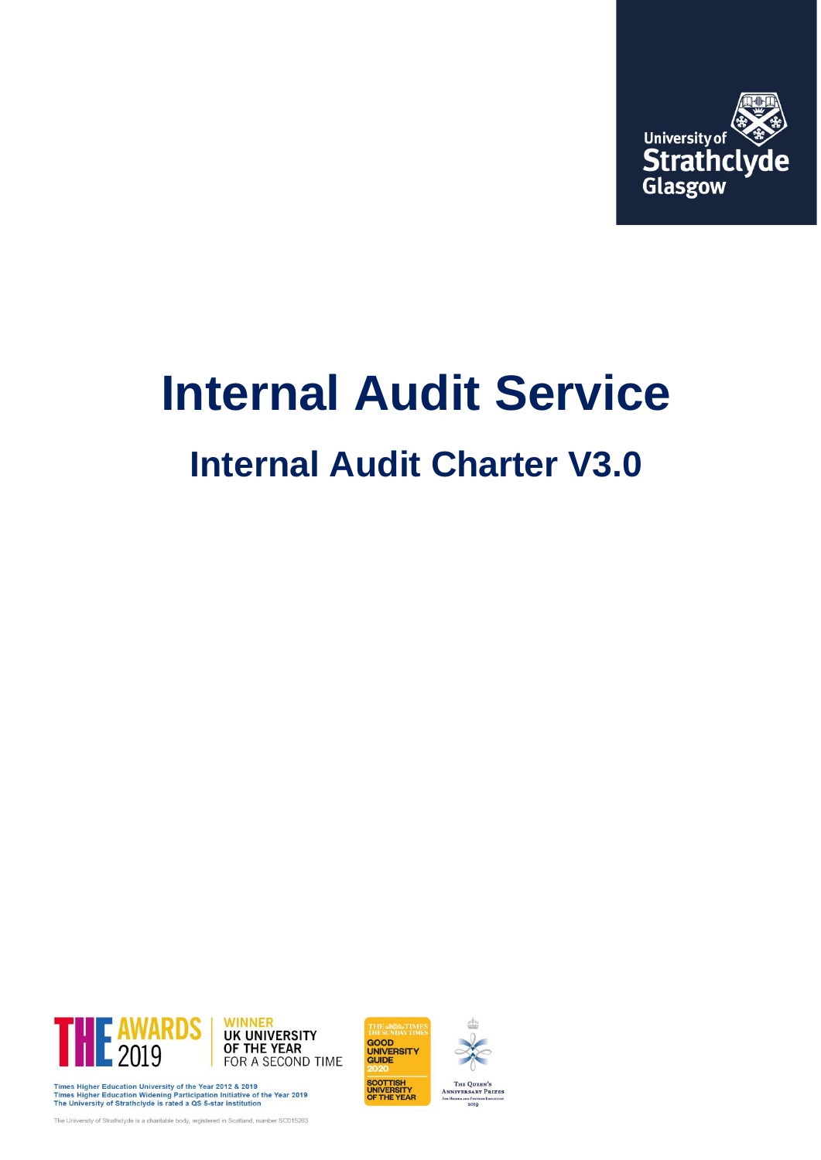

# **Internal Audit Service**

# **Internal Audit Charter V3.0**

GOOD<br>UNIVERSITY<br>GUIDE

SCOTTISH<br>UNIVERSITY<br>OF THE YEAR

THE QUEEN'S<br>ANNIVERSARY PRIZES **EURTH** 



Times Higher Education University of the Year 2012 & 2019<br>Times Higher Education Widening Participation Initiative of the Year 2019<br>The University of Strathclyde is rated a QS 5-star institution

The University of Strathclyde is a charitable body, registered in Scotland, number SC015263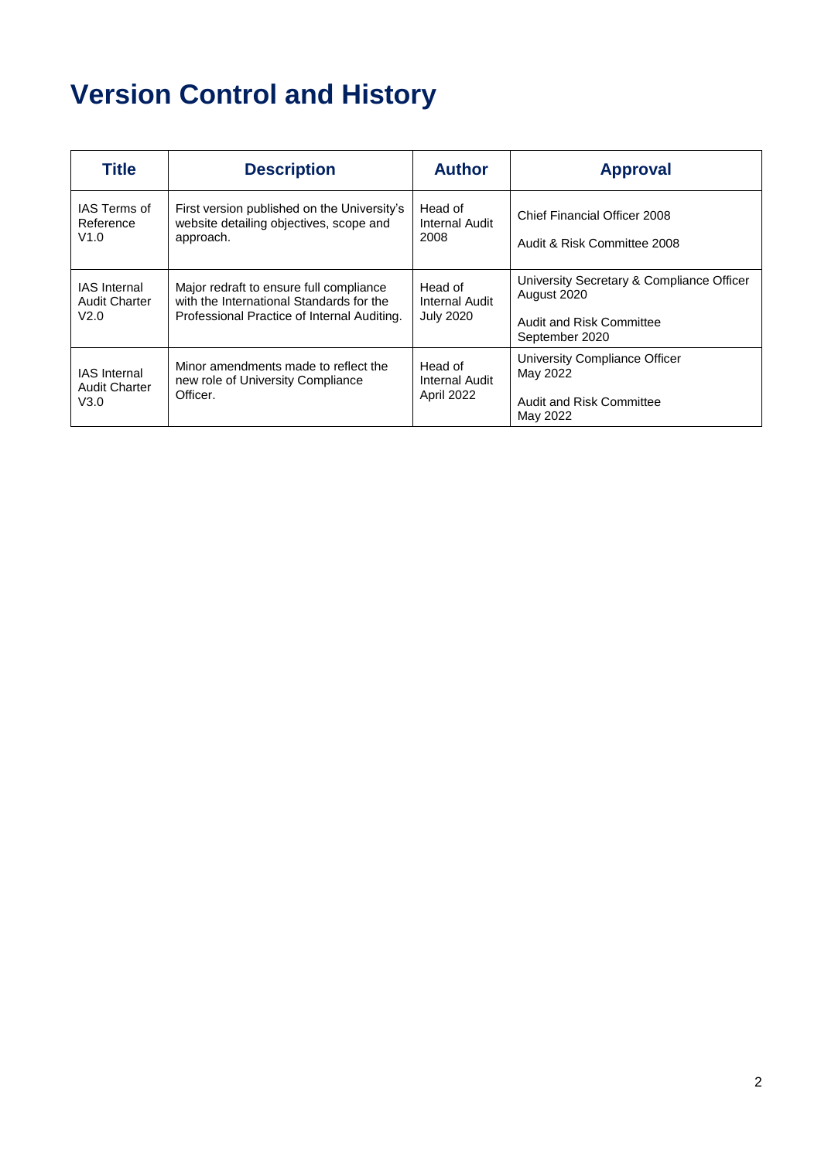## **Version Control and History**

| <b>Title</b>                                        | <b>Description</b>                                                                                                                 | <b>Author</b>                                 | <b>Approval</b>                                                                                        |
|-----------------------------------------------------|------------------------------------------------------------------------------------------------------------------------------------|-----------------------------------------------|--------------------------------------------------------------------------------------------------------|
| IAS Terms of<br>Reference<br>V1.0                   | First version published on the University's<br>website detailing objectives, scope and<br>approach.                                | Head of<br>Internal Audit<br>2008             | Chief Financial Officer 2008<br>Audit & Risk Committee 2008                                            |
| <b>IAS</b> Internal<br><b>Audit Charter</b><br>V2.0 | Major redraft to ensure full compliance<br>with the International Standards for the<br>Professional Practice of Internal Auditing. | Head of<br>Internal Audit<br><b>July 2020</b> | University Secretary & Compliance Officer<br>August 2020<br>Audit and Risk Committee<br>September 2020 |
| <b>IAS</b> Internal<br><b>Audit Charter</b><br>V3.0 | Minor amendments made to reflect the<br>new role of University Compliance<br>Officer.                                              | Head of<br>Internal Audit<br>April 2022       | University Compliance Officer<br>May 2022<br>Audit and Risk Committee<br>May 2022                      |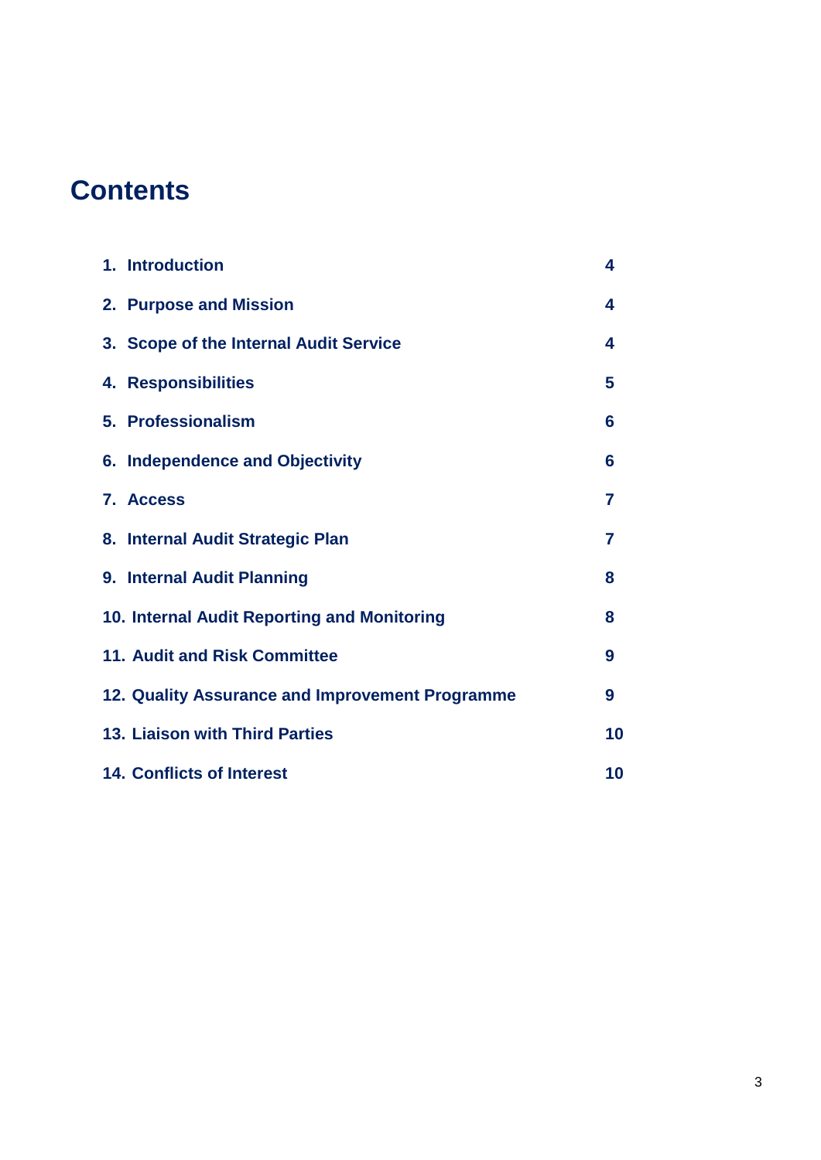### **Contents**

| 1. Introduction                                 | 4  |
|-------------------------------------------------|----|
| 2. Purpose and Mission                          | 4  |
| 3. Scope of the Internal Audit Service          | 4  |
| 4. Responsibilities                             | 5  |
| 5. Professionalism                              | 6  |
| 6. Independence and Objectivity                 | 6  |
| 7. Access                                       | 7  |
| 8. Internal Audit Strategic Plan                | 7  |
| 9. Internal Audit Planning                      | 8  |
| 10. Internal Audit Reporting and Monitoring     | 8  |
| 11. Audit and Risk Committee                    | 9  |
| 12. Quality Assurance and Improvement Programme | 9  |
| 13. Liaison with Third Parties                  | 10 |
| <b>14. Conflicts of Interest</b>                | 10 |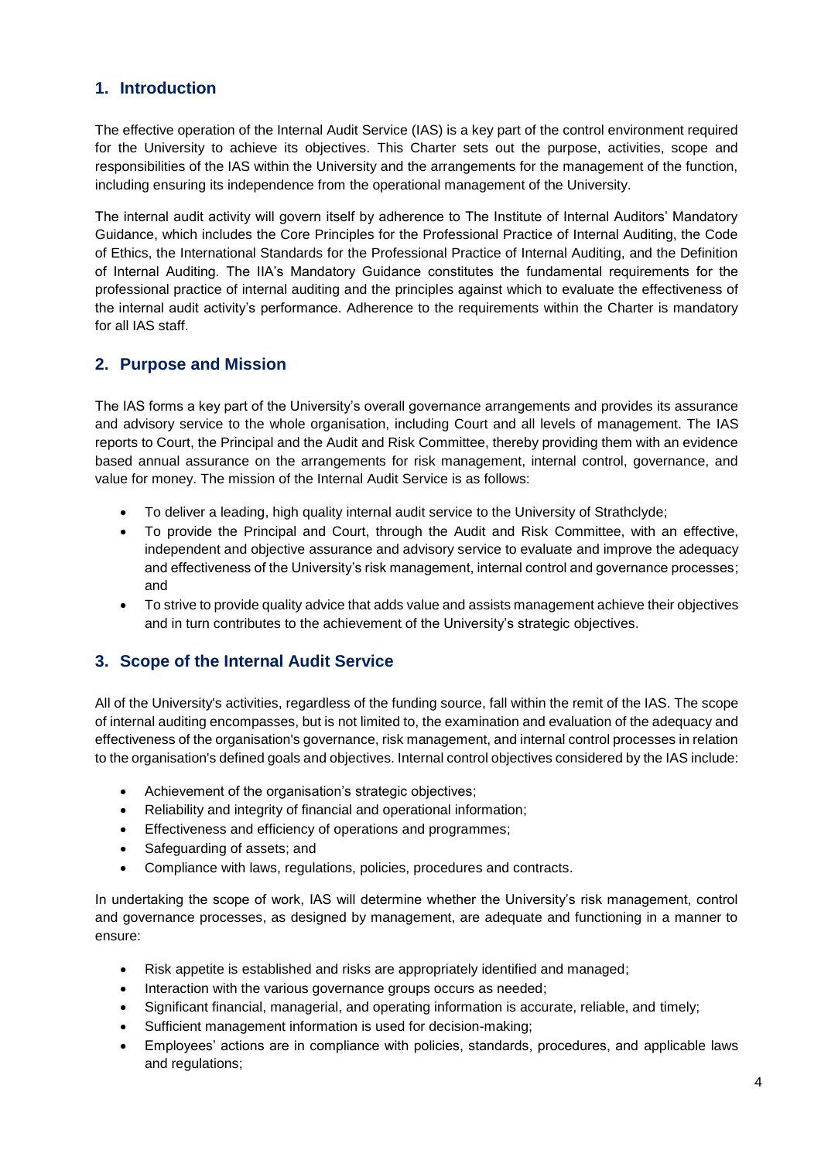#### **1. Introduction**

The effective operation of the Internal Audit Service (IAS) is a key part of the control environment required for the University to achieve its objectives. This Charter sets out the purpose, activities, scope and responsibilities of the IAS within the University and the arrangements for the management of the function, including ensuring its independence from the operational management of the University.

The internal audit activity will govern itself by adherence to The Institute of Internal Auditors' Mandatory Guidance, which includes the Core Principles for the Professional Practice of Internal Auditing, the Code of Ethics, the International Standards for the Professional Practice of Internal Auditing, and the Definition of Internal Auditing. The IIA's Mandatory Guidance constitutes the fundamental requirements for the professional practice of internal auditing and the principles against which to evaluate the effectiveness of the internal audit activity's performance. Adherence to the requirements within the Charter is mandatory for all IAS staff.

#### **2. Purpose and Mission**

The IAS forms a key part of the University's overall governance arrangements and provides its assurance and advisory service to the whole organisation, including Court and all levels of management. The IAS reports to Court, the Principal and the Audit and Risk Committee, thereby providing them with an evidence based annual assurance on the arrangements for risk management, internal control, governance, and value for money. The mission of the Internal Audit Service is as follows:

- To deliver a leading, high quality internal audit service to the University of Strathclyde;
- To provide the Principal and Court, through the Audit and Risk Committee, with an effective, independent and objective assurance and advisory service to evaluate and improve the adequacy and effectiveness of the University's risk management, internal control and governance processes; and
- To strive to provide quality advice that adds value and assists management achieve their objectives and in turn contributes to the achievement of the University's strategic objectives.

#### **3. Scope of the Internal Audit Service**

All of the University's activities, regardless of the funding source, fall within the remit of the IAS. The scope of internal auditing encompasses, but is not limited to, the examination and evaluation of the adequacy and effectiveness of the organisation's governance, risk management, and internal control processes in relation to the organisation's defined goals and objectives. Internal control objectives considered by the IAS include:

- Achievement of the organisation's strategic objectives;
- Reliability and integrity of financial and operational information;
- Effectiveness and efficiency of operations and programmes;
- Safeguarding of assets; and
- Compliance with laws, regulations, policies, procedures and contracts.

In undertaking the scope of work, IAS will determine whether the University's risk management, control and governance processes, as designed by management, are adequate and functioning in a manner to ensure:

- Risk appetite is established and risks are appropriately identified and managed;
- Interaction with the various governance groups occurs as needed:
- Significant financial, managerial, and operating information is accurate, reliable, and timely;
- Sufficient management information is used for decision-making;
- Employees' actions are in compliance with policies, standards, procedures, and applicable laws and regulations;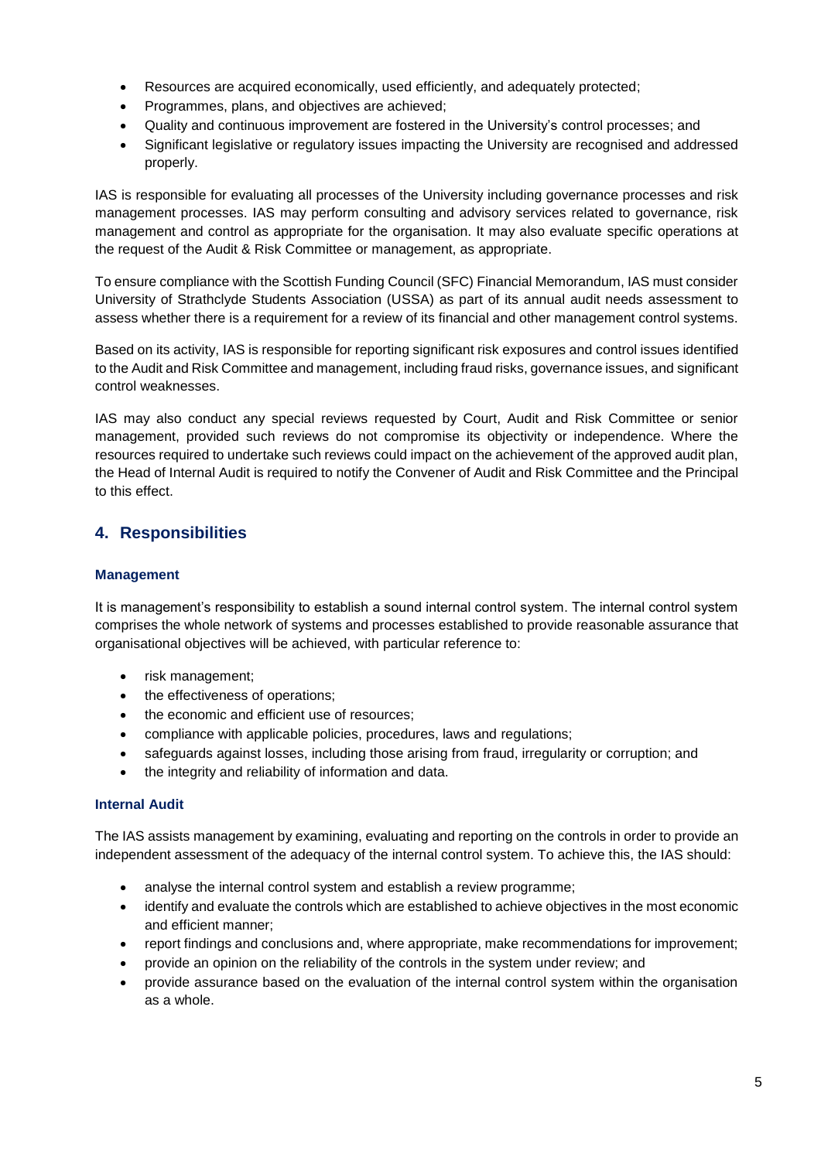- Resources are acquired economically, used efficiently, and adequately protected;
- Programmes, plans, and objectives are achieved;
- Quality and continuous improvement are fostered in the University's control processes; and
- Significant legislative or regulatory issues impacting the University are recognised and addressed properly.

IAS is responsible for evaluating all processes of the University including governance processes and risk management processes. IAS may perform consulting and advisory services related to governance, risk management and control as appropriate for the organisation. It may also evaluate specific operations at the request of the Audit & Risk Committee or management, as appropriate.

To ensure compliance with the Scottish Funding Council (SFC) Financial Memorandum, IAS must consider University of Strathclyde Students Association (USSA) as part of its annual audit needs assessment to assess whether there is a requirement for a review of its financial and other management control systems.

Based on its activity, IAS is responsible for reporting significant risk exposures and control issues identified to the Audit and Risk Committee and management, including fraud risks, governance issues, and significant control weaknesses.

IAS may also conduct any special reviews requested by Court, Audit and Risk Committee or senior management, provided such reviews do not compromise its objectivity or independence. Where the resources required to undertake such reviews could impact on the achievement of the approved audit plan, the Head of Internal Audit is required to notify the Convener of Audit and Risk Committee and the Principal to this effect.

#### **4. Responsibilities**

#### **Management**

It is management's responsibility to establish a sound internal control system. The internal control system comprises the whole network of systems and processes established to provide reasonable assurance that organisational objectives will be achieved, with particular reference to:

- risk management;
- the effectiveness of operations;
- the economic and efficient use of resources;
- compliance with applicable policies, procedures, laws and regulations;
- safeguards against losses, including those arising from fraud, irregularity or corruption; and
- the integrity and reliability of information and data.

#### **Internal Audit**

The IAS assists management by examining, evaluating and reporting on the controls in order to provide an independent assessment of the adequacy of the internal control system. To achieve this, the IAS should:

- analyse the internal control system and establish a review programme;
- identify and evaluate the controls which are established to achieve objectives in the most economic and efficient manner;
- report findings and conclusions and, where appropriate, make recommendations for improvement;
- provide an opinion on the reliability of the controls in the system under review; and
- provide assurance based on the evaluation of the internal control system within the organisation as a whole.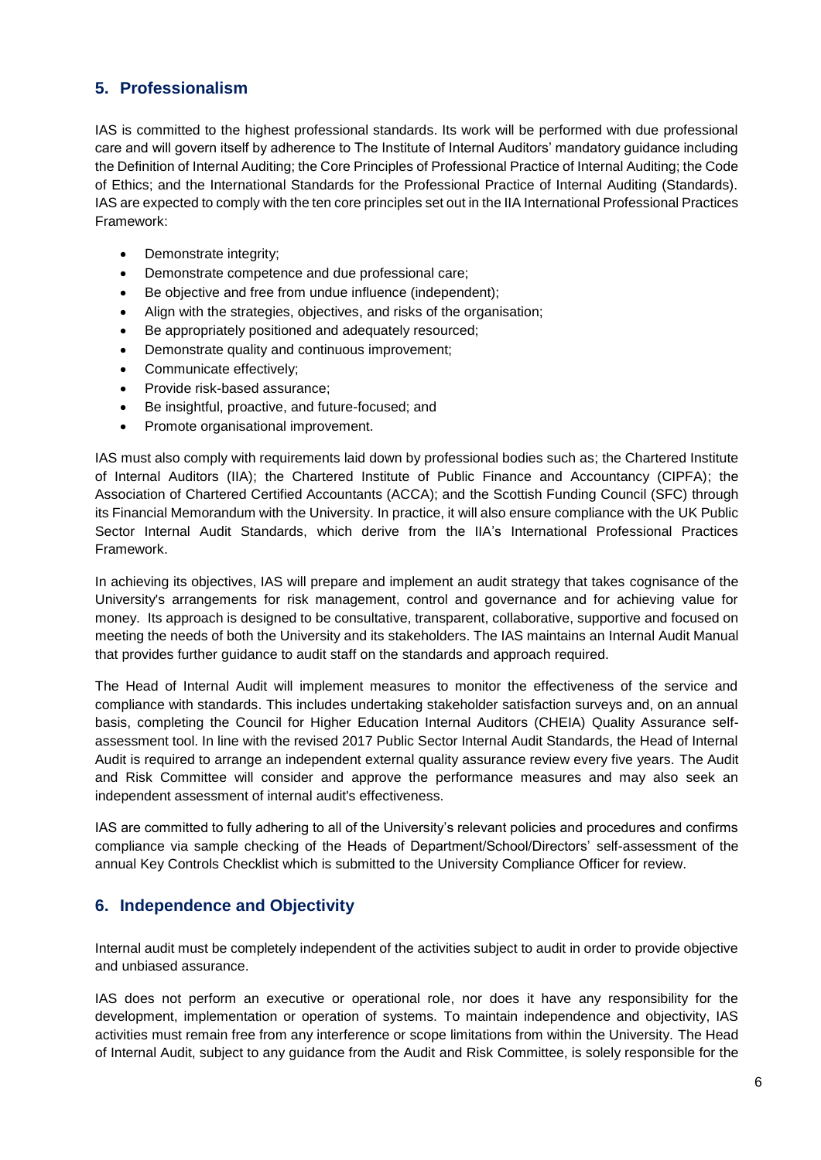#### **5. Professionalism**

IAS is committed to the highest professional standards. Its work will be performed with due professional care and will govern itself by adherence to The Institute of Internal Auditors' mandatory guidance including the Definition of Internal Auditing; the Core Principles of Professional Practice of Internal Auditing; the Code of Ethics; and the International Standards for the Professional Practice of Internal Auditing (Standards). IAS are expected to comply with the ten core principles set out in the IIA International Professional Practices Framework:

- Demonstrate integrity;
- Demonstrate competence and due professional care;
- Be objective and free from undue influence (independent);
- Align with the strategies, objectives, and risks of the organisation;
- Be appropriately positioned and adequately resourced;
- Demonstrate quality and continuous improvement;
- Communicate effectively;
- Provide risk-based assurance;
- Be insightful, proactive, and future-focused; and
- Promote organisational improvement.

IAS must also comply with requirements laid down by professional bodies such as; the Chartered Institute of Internal Auditors (IIA); the Chartered Institute of Public Finance and Accountancy (CIPFA); the Association of Chartered Certified Accountants (ACCA); and the Scottish Funding Council (SFC) through its Financial Memorandum with the University. In practice, it will also ensure compliance with the UK Public Sector Internal Audit Standards, which derive from the IIA's International Professional Practices Framework.

In achieving its objectives, IAS will prepare and implement an audit strategy that takes cognisance of the University's arrangements for risk management, control and governance and for achieving value for money. Its approach is designed to be consultative, transparent, collaborative, supportive and focused on meeting the needs of both the University and its stakeholders. The IAS maintains an Internal Audit Manual that provides further guidance to audit staff on the standards and approach required.

The Head of Internal Audit will implement measures to monitor the effectiveness of the service and compliance with standards. This includes undertaking stakeholder satisfaction surveys and, on an annual basis, completing the Council for Higher Education Internal Auditors (CHEIA) Quality Assurance selfassessment tool. In line with the revised 2017 Public Sector Internal Audit Standards, the Head of Internal Audit is required to arrange an independent external quality assurance review every five years. The Audit and Risk Committee will consider and approve the performance measures and may also seek an independent assessment of internal audit's effectiveness.

IAS are committed to fully adhering to all of the University's relevant policies and procedures and confirms compliance via sample checking of the Heads of Department/School/Directors' self-assessment of the annual Key Controls Checklist which is submitted to the University Compliance Officer for review.

#### **6. Independence and Objectivity**

Internal audit must be completely independent of the activities subject to audit in order to provide objective and unbiased assurance.

IAS does not perform an executive or operational role, nor does it have any responsibility for the development, implementation or operation of systems. To maintain independence and objectivity, IAS activities must remain free from any interference or scope limitations from within the University. The Head of Internal Audit, subject to any guidance from the Audit and Risk Committee, is solely responsible for the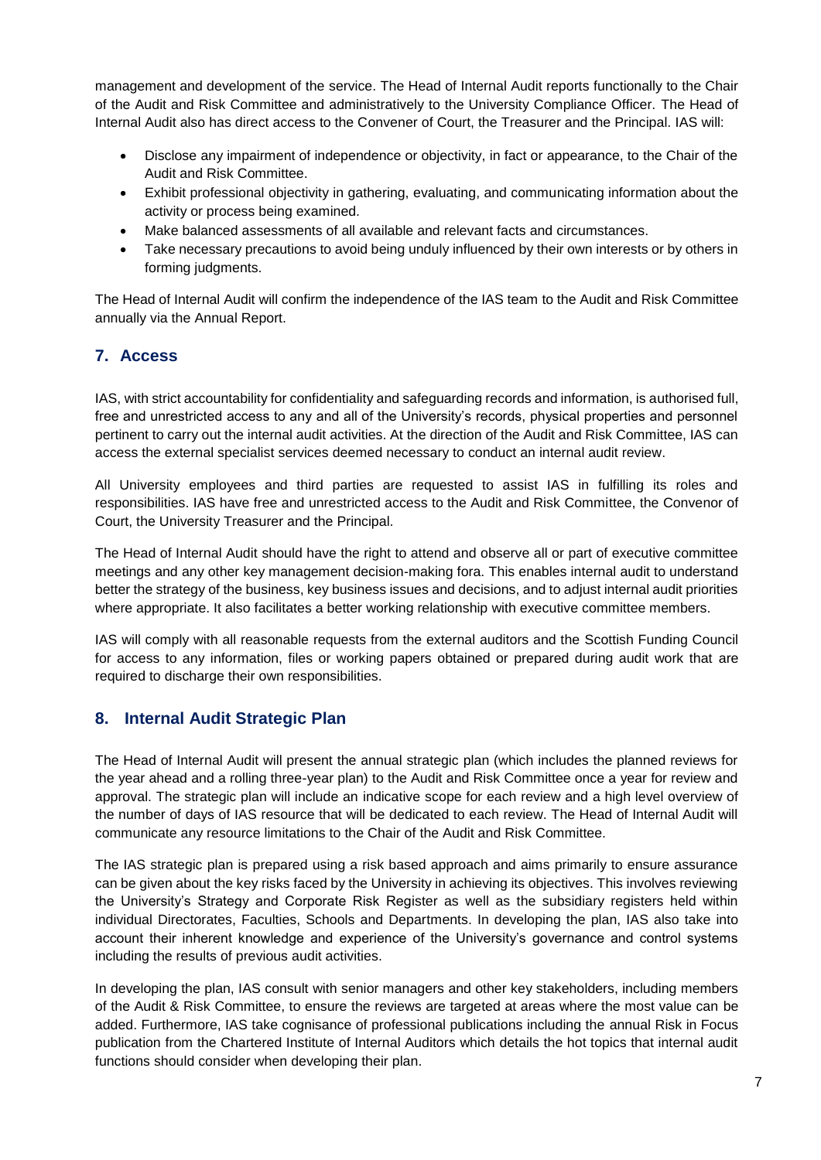management and development of the service. The Head of Internal Audit reports functionally to the Chair of the Audit and Risk Committee and administratively to the University Compliance Officer. The Head of Internal Audit also has direct access to the Convener of Court, the Treasurer and the Principal. IAS will:

- Disclose any impairment of independence or objectivity, in fact or appearance, to the Chair of the Audit and Risk Committee.
- Exhibit professional objectivity in gathering, evaluating, and communicating information about the activity or process being examined.
- Make balanced assessments of all available and relevant facts and circumstances.
- Take necessary precautions to avoid being unduly influenced by their own interests or by others in forming judgments.

The Head of Internal Audit will confirm the independence of the IAS team to the Audit and Risk Committee annually via the Annual Report.

#### **7. Access**

IAS, with strict accountability for confidentiality and safeguarding records and information, is authorised full, free and unrestricted access to any and all of the University's records, physical properties and personnel pertinent to carry out the internal audit activities. At the direction of the Audit and Risk Committee, IAS can access the external specialist services deemed necessary to conduct an internal audit review.

All University employees and third parties are requested to assist IAS in fulfilling its roles and responsibilities. IAS have free and unrestricted access to the Audit and Risk Committee, the Convenor of Court, the University Treasurer and the Principal.

The Head of Internal Audit should have the right to attend and observe all or part of executive committee meetings and any other key management decision-making fora. This enables internal audit to understand better the strategy of the business, key business issues and decisions, and to adjust internal audit priorities where appropriate. It also facilitates a better working relationship with executive committee members.

IAS will comply with all reasonable requests from the external auditors and the Scottish Funding Council for access to any information, files or working papers obtained or prepared during audit work that are required to discharge their own responsibilities.

#### **8. Internal Audit Strategic Plan**

The Head of Internal Audit will present the annual strategic plan (which includes the planned reviews for the year ahead and a rolling three-year plan) to the Audit and Risk Committee once a year for review and approval. The strategic plan will include an indicative scope for each review and a high level overview of the number of days of IAS resource that will be dedicated to each review. The Head of Internal Audit will communicate any resource limitations to the Chair of the Audit and Risk Committee.

The IAS strategic plan is prepared using a risk based approach and aims primarily to ensure assurance can be given about the key risks faced by the University in achieving its objectives. This involves reviewing the University's Strategy and Corporate Risk Register as well as the subsidiary registers held within individual Directorates, Faculties, Schools and Departments. In developing the plan, IAS also take into account their inherent knowledge and experience of the University's governance and control systems including the results of previous audit activities.

In developing the plan, IAS consult with senior managers and other key stakeholders, including members of the Audit & Risk Committee, to ensure the reviews are targeted at areas where the most value can be added. Furthermore, IAS take cognisance of professional publications including the annual Risk in Focus publication from the Chartered Institute of Internal Auditors which details the hot topics that internal audit functions should consider when developing their plan.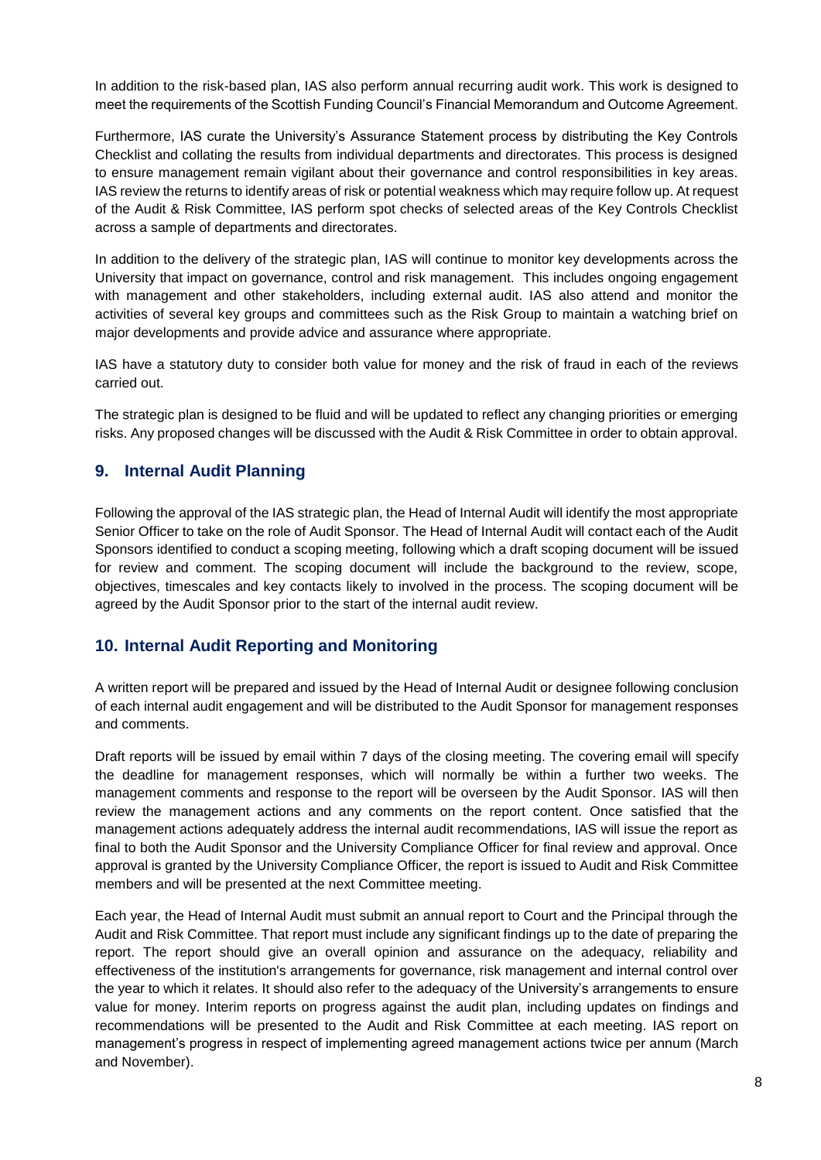In addition to the risk-based plan, IAS also perform annual recurring audit work. This work is designed to meet the requirements of the Scottish Funding Council's Financial Memorandum and Outcome Agreement.

Furthermore, IAS curate the University's Assurance Statement process by distributing the Key Controls Checklist and collating the results from individual departments and directorates. This process is designed to ensure management remain vigilant about their governance and control responsibilities in key areas. IAS review the returns to identify areas of risk or potential weakness which may require follow up. At request of the Audit & Risk Committee, IAS perform spot checks of selected areas of the Key Controls Checklist across a sample of departments and directorates.

In addition to the delivery of the strategic plan, IAS will continue to monitor key developments across the University that impact on governance, control and risk management. This includes ongoing engagement with management and other stakeholders, including external audit. IAS also attend and monitor the activities of several key groups and committees such as the Risk Group to maintain a watching brief on major developments and provide advice and assurance where appropriate.

IAS have a statutory duty to consider both value for money and the risk of fraud in each of the reviews carried out.

The strategic plan is designed to be fluid and will be updated to reflect any changing priorities or emerging risks. Any proposed changes will be discussed with the Audit & Risk Committee in order to obtain approval.

#### **9. Internal Audit Planning**

Following the approval of the IAS strategic plan, the Head of Internal Audit will identify the most appropriate Senior Officer to take on the role of Audit Sponsor. The Head of Internal Audit will contact each of the Audit Sponsors identified to conduct a scoping meeting, following which a draft scoping document will be issued for review and comment. The scoping document will include the background to the review, scope, objectives, timescales and key contacts likely to involved in the process. The scoping document will be agreed by the Audit Sponsor prior to the start of the internal audit review.

#### **10. Internal Audit Reporting and Monitoring**

A written report will be prepared and issued by the Head of Internal Audit or designee following conclusion of each internal audit engagement and will be distributed to the Audit Sponsor for management responses and comments.

Draft reports will be issued by email within 7 days of the closing meeting. The covering email will specify the deadline for management responses, which will normally be within a further two weeks. The management comments and response to the report will be overseen by the Audit Sponsor. IAS will then review the management actions and any comments on the report content. Once satisfied that the management actions adequately address the internal audit recommendations, IAS will issue the report as final to both the Audit Sponsor and the University Compliance Officer for final review and approval. Once approval is granted by the University Compliance Officer, the report is issued to Audit and Risk Committee members and will be presented at the next Committee meeting.

Each year, the Head of Internal Audit must submit an annual report to Court and the Principal through the Audit and Risk Committee. That report must include any significant findings up to the date of preparing the report. The report should give an overall opinion and assurance on the adequacy, reliability and effectiveness of the institution's arrangements for governance, risk management and internal control over the year to which it relates. It should also refer to the adequacy of the University's arrangements to ensure value for money. Interim reports on progress against the audit plan, including updates on findings and recommendations will be presented to the Audit and Risk Committee at each meeting. IAS report on management's progress in respect of implementing agreed management actions twice per annum (March and November).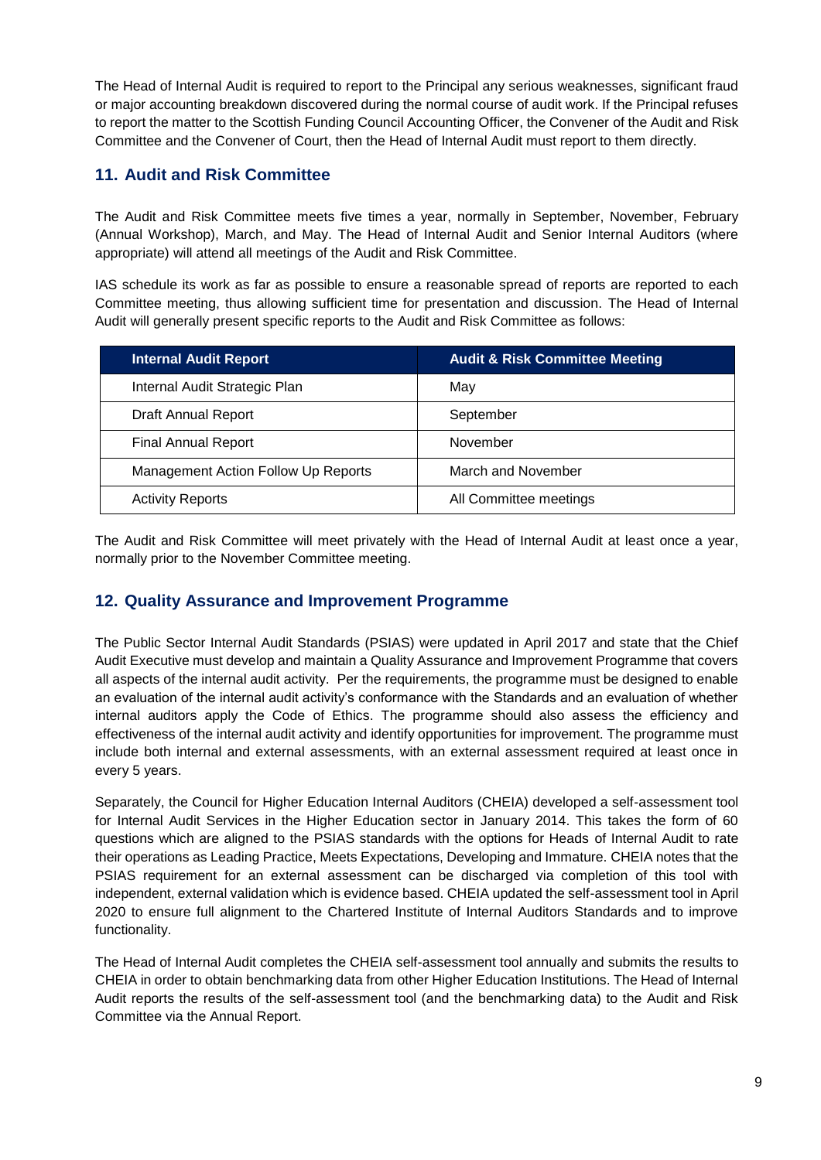The Head of Internal Audit is required to report to the Principal any serious weaknesses, significant fraud or major accounting breakdown discovered during the normal course of audit work. If the Principal refuses to report the matter to the Scottish Funding Council Accounting Officer, the Convener of the Audit and Risk Committee and the Convener of Court, then the Head of Internal Audit must report to them directly.

#### **11. Audit and Risk Committee**

The Audit and Risk Committee meets five times a year, normally in September, November, February (Annual Workshop), March, and May. The Head of Internal Audit and Senior Internal Auditors (where appropriate) will attend all meetings of the Audit and Risk Committee.

IAS schedule its work as far as possible to ensure a reasonable spread of reports are reported to each Committee meeting, thus allowing sufficient time for presentation and discussion. The Head of Internal Audit will generally present specific reports to the Audit and Risk Committee as follows:

| <b>Internal Audit Report</b>        | <b>Audit &amp; Risk Committee Meeting</b> |  |
|-------------------------------------|-------------------------------------------|--|
| Internal Audit Strategic Plan       | May                                       |  |
| Draft Annual Report                 | September                                 |  |
| <b>Final Annual Report</b>          | November                                  |  |
| Management Action Follow Up Reports | March and November                        |  |
| <b>Activity Reports</b>             | All Committee meetings                    |  |

The Audit and Risk Committee will meet privately with the Head of Internal Audit at least once a year, normally prior to the November Committee meeting.

#### **12. Quality Assurance and Improvement Programme**

The Public Sector Internal Audit Standards (PSIAS) were updated in April 2017 and state that the Chief Audit Executive must develop and maintain a Quality Assurance and Improvement Programme that covers all aspects of the internal audit activity. Per the requirements, the programme must be designed to enable an evaluation of the internal audit activity's conformance with the Standards and an evaluation of whether internal auditors apply the Code of Ethics. The programme should also assess the efficiency and effectiveness of the internal audit activity and identify opportunities for improvement. The programme must include both internal and external assessments, with an external assessment required at least once in every 5 years.

Separately, the Council for Higher Education Internal Auditors (CHEIA) developed a self-assessment tool for Internal Audit Services in the Higher Education sector in January 2014. This takes the form of 60 questions which are aligned to the PSIAS standards with the options for Heads of Internal Audit to rate their operations as Leading Practice, Meets Expectations, Developing and Immature. CHEIA notes that the PSIAS requirement for an external assessment can be discharged via completion of this tool with independent, external validation which is evidence based. CHEIA updated the self-assessment tool in April 2020 to ensure full alignment to the Chartered Institute of Internal Auditors Standards and to improve functionality.

The Head of Internal Audit completes the CHEIA self-assessment tool annually and submits the results to CHEIA in order to obtain benchmarking data from other Higher Education Institutions. The Head of Internal Audit reports the results of the self-assessment tool (and the benchmarking data) to the Audit and Risk Committee via the Annual Report.